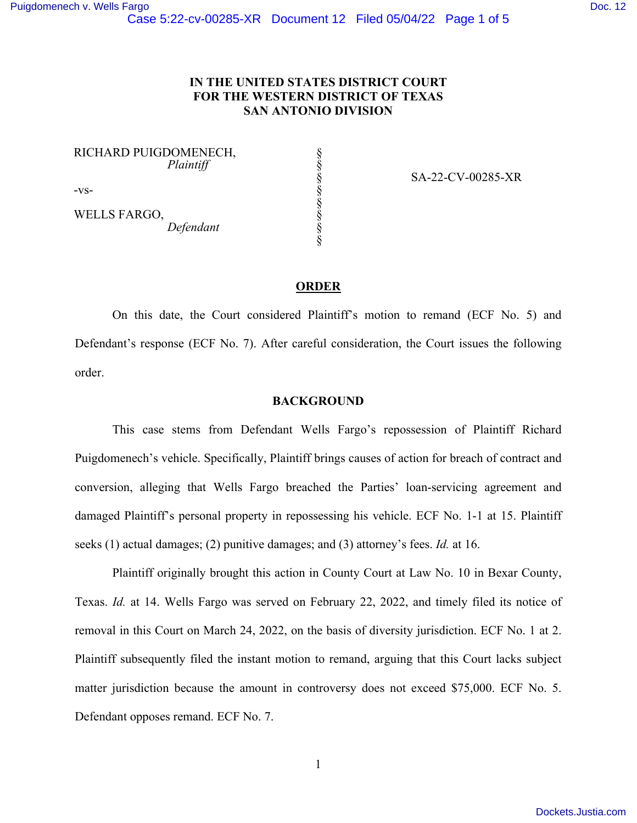# **IN THE UNITED STATES DISTRICT COURT FOR THE WESTERN DISTRICT OF TEXAS SAN ANTONIO DIVISION**

§ § § § § § § §

RICHARD PUIGDOMENECH,  *Plaintiff*

-vs-

WELLS FARGO,  *Defendant* SA-22-CV-00285-XR

## **ORDER**

On this date, the Court considered Plaintiff's motion to remand (ECF No. 5) and Defendant's response (ECF No. 7). After careful consideration, the Court issues the following order.

## **BACKGROUND**

This case stems from Defendant Wells Fargo's repossession of Plaintiff Richard Puigdomenech's vehicle. Specifically, Plaintiff brings causes of action for breach of contract and conversion, alleging that Wells Fargo breached the Parties' loan-servicing agreement and damaged Plaintiff's personal property in repossessing his vehicle. ECF No. 1-1 at 15. Plaintiff seeks (1) actual damages; (2) punitive damages; and (3) attorney's fees. *Id.* at 16.

Plaintiff originally brought this action in County Court at Law No. 10 in Bexar County, Texas. *Id.* at 14. Wells Fargo was served on February 22, 2022, and timely filed its notice of removal in this Court on March 24, 2022, on the basis of diversity jurisdiction. ECF No. 1 at 2. Plaintiff subsequently filed the instant motion to remand, arguing that this Court lacks subject matter jurisdiction because the amount in controversy does not exceed \$75,000. ECF No. 5. Defendant opposes remand. ECF No. 7.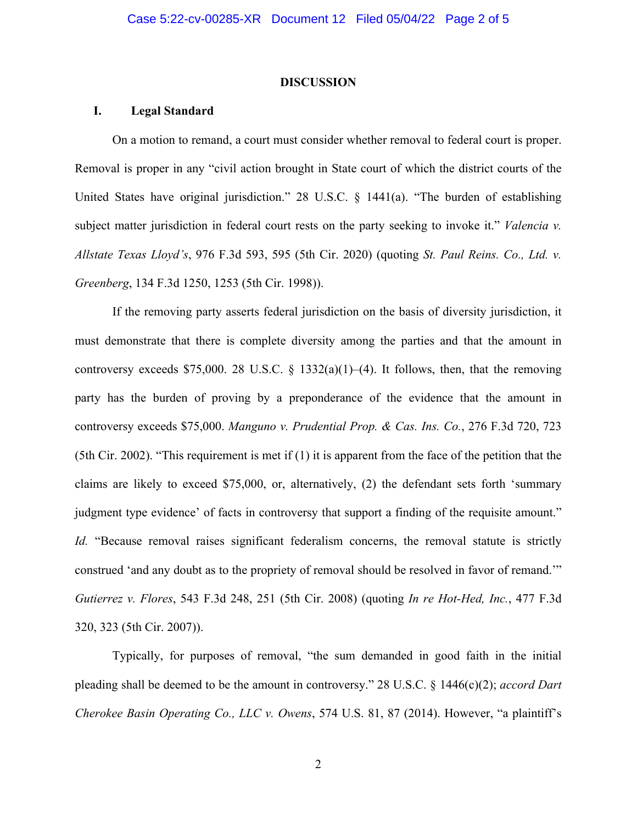#### **DISCUSSION**

#### **I. Legal Standard**

On a motion to remand, a court must consider whether removal to federal court is proper. Removal is proper in any "civil action brought in State court of which the district courts of the United States have original jurisdiction." 28 U.S.C. § 1441(a). "The burden of establishing subject matter jurisdiction in federal court rests on the party seeking to invoke it." *Valencia v. Allstate Texas Lloyd's*, 976 F.3d 593, 595 (5th Cir. 2020) (quoting *St. Paul Reins. Co., Ltd. v. Greenberg*, 134 F.3d 1250, 1253 (5th Cir. 1998)).

If the removing party asserts federal jurisdiction on the basis of diversity jurisdiction, it must demonstrate that there is complete diversity among the parties and that the amount in controversy exceeds \$75,000. 28 U.S.C. § 1332(a)(1)–(4). It follows, then, that the removing party has the burden of proving by a preponderance of the evidence that the amount in controversy exceeds \$75,000. *Manguno v. Prudential Prop. & Cas. Ins. Co.*, 276 F.3d 720, 723 (5th Cir. 2002). "This requirement is met if (1) it is apparent from the face of the petition that the claims are likely to exceed \$75,000, or, alternatively, (2) the defendant sets forth 'summary judgment type evidence' of facts in controversy that support a finding of the requisite amount." *Id.* "Because removal raises significant federalism concerns, the removal statute is strictly construed 'and any doubt as to the propriety of removal should be resolved in favor of remand.'" *Gutierrez v. Flores*, 543 F.3d 248, 251 (5th Cir. 2008) (quoting *In re Hot-Hed, Inc.*, 477 F.3d 320, 323 (5th Cir. 2007)).

Typically, for purposes of removal, "the sum demanded in good faith in the initial pleading shall be deemed to be the amount in controversy." 28 U.S.C. § 1446(c)(2); *accord Dart Cherokee Basin Operating Co., LLC v. Owens*, 574 U.S. 81, 87 (2014). However, "a plaintiff's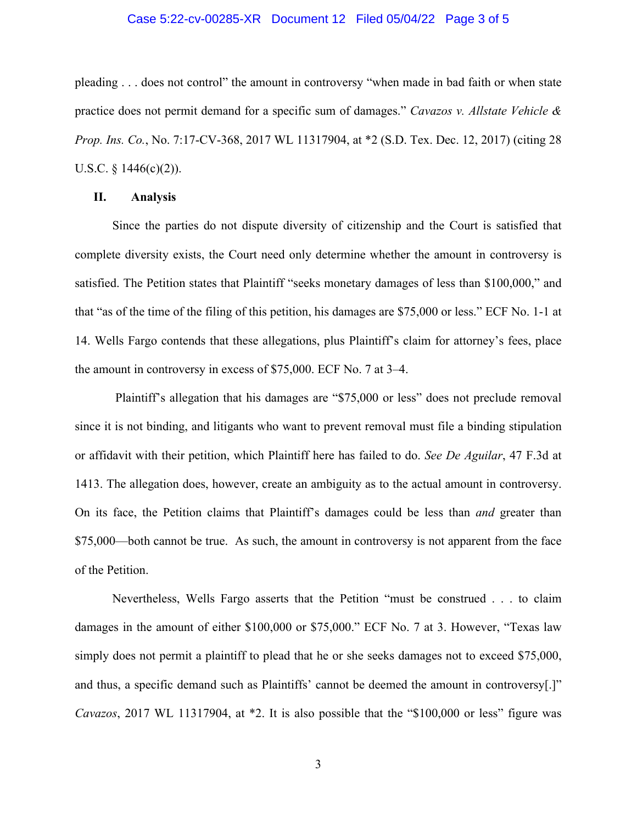### Case 5:22-cv-00285-XR Document 12 Filed 05/04/22 Page 3 of 5

pleading . . . does not control" the amount in controversy "when made in bad faith or when state practice does not permit demand for a specific sum of damages." *Cavazos v. Allstate Vehicle & Prop. Ins. Co.*, No. 7:17-CV-368, 2017 WL 11317904, at \*2 (S.D. Tex. Dec. 12, 2017) (citing 28 U.S.C. §  $1446(c)(2)$ ).

#### **II. Analysis**

Since the parties do not dispute diversity of citizenship and the Court is satisfied that complete diversity exists, the Court need only determine whether the amount in controversy is satisfied. The Petition states that Plaintiff "seeks monetary damages of less than \$100,000," and that "as of the time of the filing of this petition, his damages are \$75,000 or less." ECF No. 1-1 at 14. Wells Fargo contends that these allegations, plus Plaintiff's claim for attorney's fees, place the amount in controversy in excess of \$75,000. ECF No. 7 at 3–4.

Plaintiff's allegation that his damages are "\$75,000 or less" does not preclude removal since it is not binding, and litigants who want to prevent removal must file a binding stipulation or affidavit with their petition, which Plaintiff here has failed to do. *See De Aguilar*, 47 F.3d at 1413. The allegation does, however, create an ambiguity as to the actual amount in controversy. On its face, the Petition claims that Plaintiff's damages could be less than *and* greater than \$75,000—both cannot be true. As such, the amount in controversy is not apparent from the face of the Petition.

Nevertheless, Wells Fargo asserts that the Petition "must be construed . . . to claim damages in the amount of either \$100,000 or \$75,000." ECF No. 7 at 3. However, "Texas law simply does not permit a plaintiff to plead that he or she seeks damages not to exceed \$75,000, and thus, a specific demand such as Plaintiffs' cannot be deemed the amount in controversy[.]" *Cavazos*, 2017 WL 11317904, at \*2. It is also possible that the "\$100,000 or less" figure was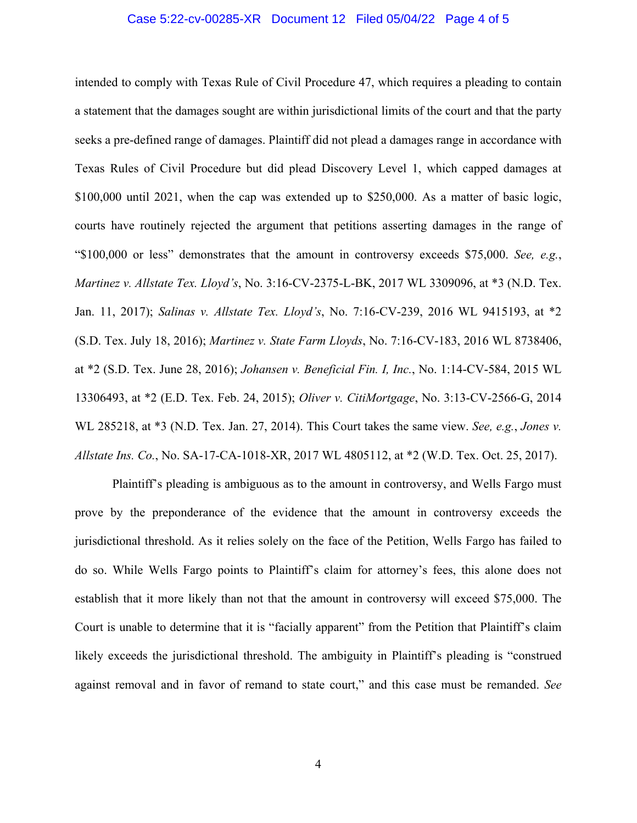### Case 5:22-cv-00285-XR Document 12 Filed 05/04/22 Page 4 of 5

intended to comply with Texas Rule of Civil Procedure 47, which requires a pleading to contain a statement that the damages sought are within jurisdictional limits of the court and that the party seeks a pre-defined range of damages. Plaintiff did not plead a damages range in accordance with Texas Rules of Civil Procedure but did plead Discovery Level 1, which capped damages at \$100,000 until 2021, when the cap was extended up to \$250,000. As a matter of basic logic, courts have routinely rejected the argument that petitions asserting damages in the range of "\$100,000 or less" demonstrates that the amount in controversy exceeds \$75,000. *See, e.g.*, *Martinez v. Allstate Tex. Lloyd's*, No. 3:16-CV-2375-L-BK, 2017 WL 3309096, at \*3 (N.D. Tex. Jan. 11, 2017); *Salinas v. Allstate Tex. Lloyd's*, No. 7:16-CV-239, 2016 WL 9415193, at \*2 (S.D. Tex. July 18, 2016); *Martinez v. State Farm Lloyds*, No. 7:16-CV-183, 2016 WL 8738406, at \*2 (S.D. Tex. June 28, 2016); *Johansen v. Beneficial Fin. I, Inc.*, No. 1:14-CV-584, 2015 WL 13306493, at \*2 (E.D. Tex. Feb. 24, 2015); *Oliver v. CitiMortgage*, No. 3:13-CV-2566-G, 2014 WL 285218, at \*3 (N.D. Tex. Jan. 27, 2014). This Court takes the same view. *See, e.g.*, *Jones v. Allstate Ins. Co.*, No. SA-17-CA-1018-XR, 2017 WL 4805112, at \*2 (W.D. Tex. Oct. 25, 2017).

Plaintiff's pleading is ambiguous as to the amount in controversy, and Wells Fargo must prove by the preponderance of the evidence that the amount in controversy exceeds the jurisdictional threshold. As it relies solely on the face of the Petition, Wells Fargo has failed to do so. While Wells Fargo points to Plaintiff's claim for attorney's fees, this alone does not establish that it more likely than not that the amount in controversy will exceed \$75,000. The Court is unable to determine that it is "facially apparent" from the Petition that Plaintiff's claim likely exceeds the jurisdictional threshold. The ambiguity in Plaintiff's pleading is "construed against removal and in favor of remand to state court," and this case must be remanded. *See*